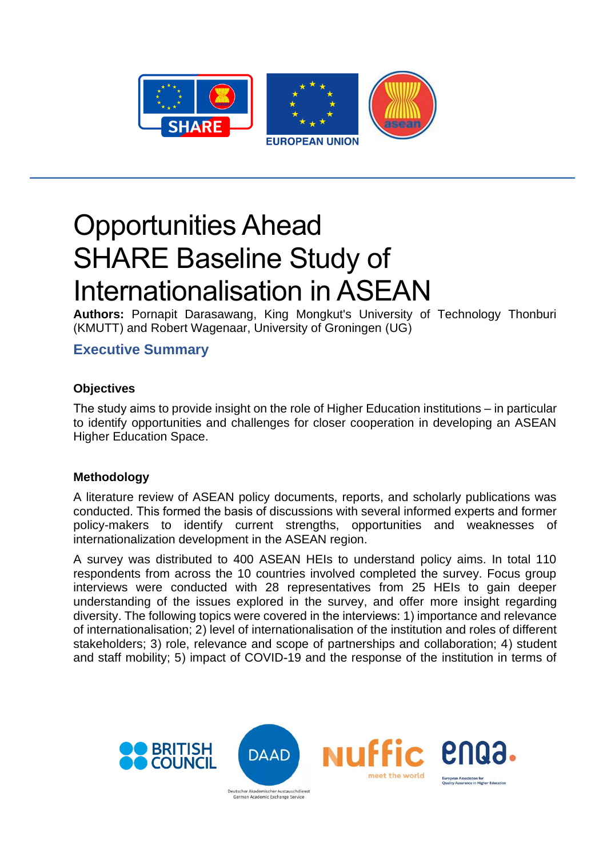

# Opportunities Ahead SHARE Baseline Study of Internationalisation in ASEAN

**Authors:** Pornapit Darasawang, King Mongkut's University of Technology Thonburi (KMUTT) and Robert Wagenaar, University of Groningen (UG)

# **Executive Summary**

## **Objectives**

The study aims to provide insight on the role of Higher Education institutions – in particular to identify opportunities and challenges for closer cooperation in developing an ASEAN Higher Education Space.

### **Methodology**

A literature review of ASEAN policy documents, reports, and scholarly publications was conducted. This formed the basis of discussions with several informed experts and former policy-makers to identify current strengths, opportunities and weaknesses of internationalization development in the ASEAN region.

A survey was distributed to 400 ASEAN HEIs to understand policy aims. In total 110 respondents from across the 10 countries involved completed the survey. Focus group interviews were conducted with 28 representatives from 25 HEIs to gain deeper understanding of the issues explored in the survey, and offer more insight regarding diversity. The following topics were covered in the interviews: 1) importance and relevance of internationalisation; 2) level of internationalisation of the institution and roles of different stakeholders; 3) role, relevance and scope of partnerships and collaboration; 4) student and staff mobility; 5) impact of COVID-19 and the response of the institution in terms of

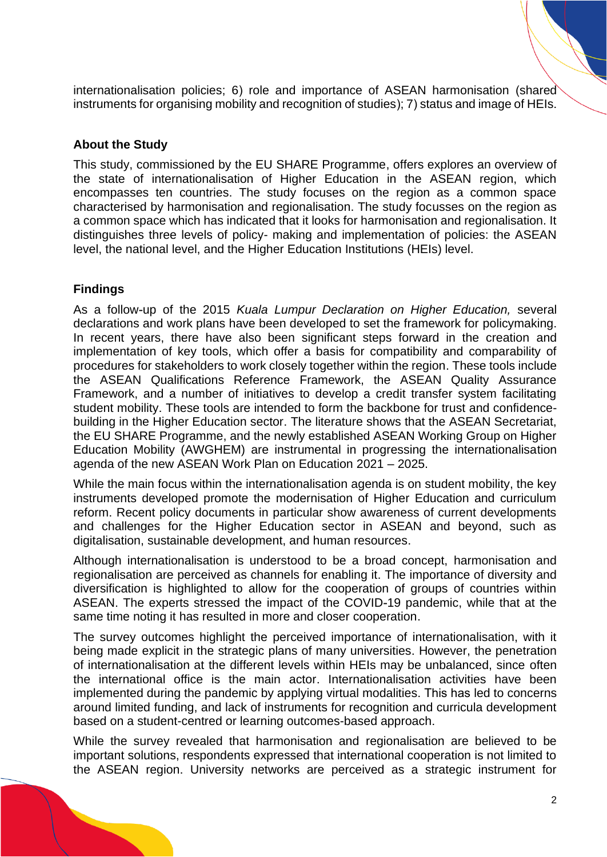internationalisation policies; 6) role and importance of ASEAN harmonisation (shared instruments for organising mobility and recognition of studies); 7) status and image of HEIs.

#### **About the Study**

This study, commissioned by the EU SHARE Programme, offers explores an overview of the state of internationalisation of Higher Education in the ASEAN region, which encompasses ten countries. The study focuses on the region as a common space characterised by harmonisation and regionalisation. The study focusses on the region as a common space which has indicated that it looks for harmonisation and regionalisation. It distinguishes three levels of policy- making and implementation of policies: the ASEAN level, the national level, and the Higher Education Institutions (HEIs) level.

#### **Findings**

As a follow-up of the 2015 *Kuala Lumpur Declaration on Higher Education,* several declarations and work plans have been developed to set the framework for policymaking. In recent years, there have also been significant steps forward in the creation and implementation of key tools, which offer a basis for compatibility and comparability of procedures for stakeholders to work closely together within the region. These tools include the ASEAN Qualifications Reference Framework, the ASEAN Quality Assurance Framework, and a number of initiatives to develop a credit transfer system facilitating student mobility. These tools are intended to form the backbone for trust and confidencebuilding in the Higher Education sector. The literature shows that the ASEAN Secretariat, the EU SHARE Programme, and the newly established ASEAN Working Group on Higher Education Mobility (AWGHEM) are instrumental in progressing the internationalisation agenda of the new ASEAN Work Plan on Education 2021 – 2025.

While the main focus within the internationalisation agenda is on student mobility, the key instruments developed promote the modernisation of Higher Education and curriculum reform. Recent policy documents in particular show awareness of current developments and challenges for the Higher Education sector in ASEAN and beyond, such as digitalisation, sustainable development, and human resources.

Although internationalisation is understood to be a broad concept, harmonisation and regionalisation are perceived as channels for enabling it. The importance of diversity and diversification is highlighted to allow for the cooperation of groups of countries within ASEAN. The experts stressed the impact of the COVID-19 pandemic, while that at the same time noting it has resulted in more and closer cooperation.

The survey outcomes highlight the perceived importance of internationalisation, with it being made explicit in the strategic plans of many universities. However, the penetration of internationalisation at the different levels within HEIs may be unbalanced, since often the international office is the main actor. Internationalisation activities have been implemented during the pandemic by applying virtual modalities. This has led to concerns around limited funding, and lack of instruments for recognition and curricula development based on a student-centred or learning outcomes-based approach.

While the survey revealed that harmonisation and regionalisation are believed to be important solutions, respondents expressed that international cooperation is not limited to the ASEAN region. University networks are perceived as a strategic instrument for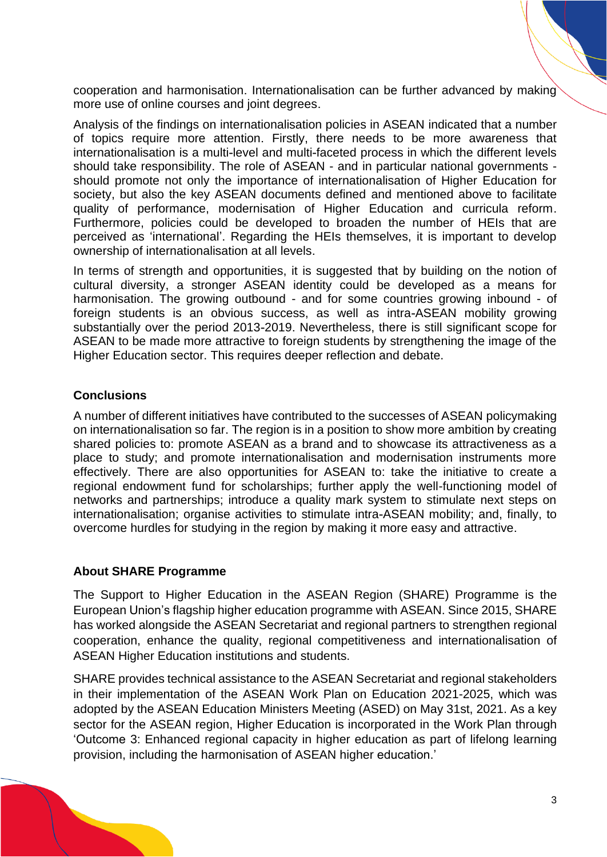cooperation and harmonisation. Internationalisation can be further advanced by making more use of online courses and joint degrees.

Analysis of the findings on internationalisation policies in ASEAN indicated that a number of topics require more attention. Firstly, there needs to be more awareness that internationalisation is a multi-level and multi-faceted process in which the different levels should take responsibility. The role of ASEAN - and in particular national governments should promote not only the importance of internationalisation of Higher Education for society, but also the key ASEAN documents defined and mentioned above to facilitate quality of performance, modernisation of Higher Education and curricula reform. Furthermore, policies could be developed to broaden the number of HEIs that are perceived as 'international'. Regarding the HEIs themselves, it is important to develop ownership of internationalisation at all levels.

In terms of strength and opportunities, it is suggested that by building on the notion of cultural diversity, a stronger ASEAN identity could be developed as a means for harmonisation. The growing outbound - and for some countries growing inbound - of foreign students is an obvious success, as well as intra-ASEAN mobility growing substantially over the period 2013-2019. Nevertheless, there is still significant scope for ASEAN to be made more attractive to foreign students by strengthening the image of the Higher Education sector. This requires deeper reflection and debate.

#### **Conclusions**

A number of different initiatives have contributed to the successes of ASEAN policymaking on internationalisation so far. The region is in a position to show more ambition by creating shared policies to: promote ASEAN as a brand and to showcase its attractiveness as a place to study; and promote internationalisation and modernisation instruments more effectively. There are also opportunities for ASEAN to: take the initiative to create a regional endowment fund for scholarships; further apply the well-functioning model of networks and partnerships; introduce a quality mark system to stimulate next steps on internationalisation; organise activities to stimulate intra-ASEAN mobility; and, finally, to overcome hurdles for studying in the region by making it more easy and attractive.

#### **About SHARE Programme**

The Support to Higher Education in the ASEAN Region (SHARE) Programme is the European Union's flagship higher education programme with ASEAN. Since 2015, SHARE has worked alongside the ASEAN Secretariat and regional partners to strengthen regional cooperation, enhance the quality, regional competitiveness and internationalisation of ASEAN Higher Education institutions and students.

SHARE provides technical assistance to the ASEAN Secretariat and regional stakeholders in their implementation of the ASEAN Work Plan on Education 2021-2025, which was adopted by the ASEAN Education Ministers Meeting (ASED) on May 31st, 2021. As a key sector for the ASEAN region, Higher Education is incorporated in the Work Plan through 'Outcome 3: Enhanced regional capacity in higher education as part of lifelong learning provision, including the harmonisation of ASEAN higher education.'